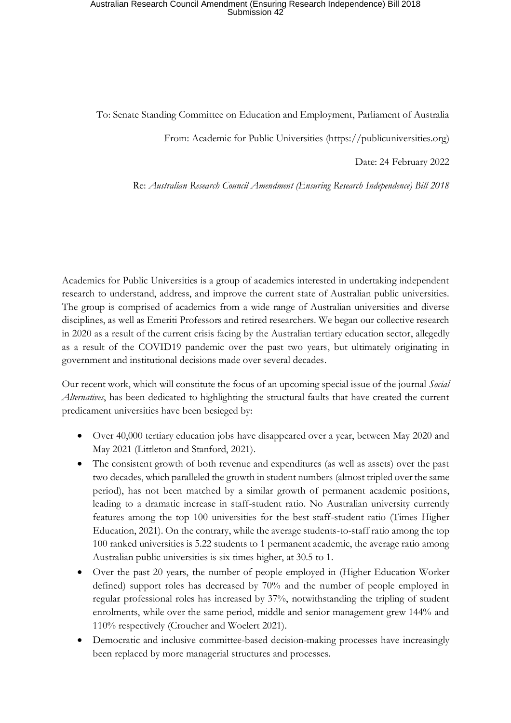To: Senate Standing Committee on Education and Employment, Parliament of Australia

From: Academic for Public Universities (https://publicuniversities.org)

Date: 24 February 2022

Re: *Australian Research Council Amendment (Ensuring Research Independence) Bill 2018*

Academics for Public Universities is a group of academics interested in undertaking independent research to understand, address, and improve the current state of Australian public universities. The group is comprised of academics from a wide range of Australian universities and diverse disciplines, as well as Emeriti Professors and retired researchers. We began our collective research in 2020 as a result of the current crisis facing by the Australian tertiary education sector, allegedly as a result of the COVID19 pandemic over the past two years, but ultimately originating in government and institutional decisions made over several decades.

Our recent work, which will constitute the focus of an upcoming special issue of the journal *Social Alternatives*, has been dedicated to highlighting the structural faults that have created the current predicament universities have been besieged by:

- Over 40,000 tertiary education jobs have disappeared over a year, between May 2020 and May 2021 (Littleton and Stanford, 2021).
- The consistent growth of both revenue and expenditures (as well as assets) over the past two decades, which paralleled the growth in student numbers (almost tripled over the same period), has not been matched by a similar growth of permanent academic positions, leading to a dramatic increase in staff-student ratio. No Australian university currently features among the top 100 universities for the best staff-student ratio (Times Higher Education, 2021). On the contrary, while the average students-to-staff ratio among the top 100 ranked universities is 5.22 students to 1 permanent academic, the average ratio among Australian public universities is six times higher, at 30.5 to 1.
- Over the past 20 years, the number of people employed in (Higher Education Worker defined) support roles has decreased by 70% and the number of people employed in regular professional roles has increased by 37%, notwithstanding the tripling of student enrolments, while over the same period, middle and senior management grew 144% and 110% respectively (Croucher and Woelert 2021).
- Democratic and inclusive committee-based decision-making processes have increasingly been replaced by more managerial structures and processes.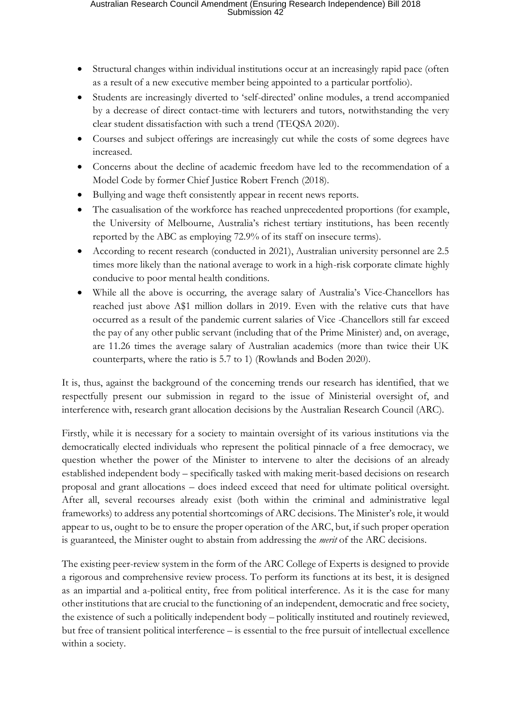- Structural changes within individual institutions occur at an increasingly rapid pace (often as a result of a new executive member being appointed to a particular portfolio).
- Students are increasingly diverted to 'self-directed' online modules, a trend accompanied by a decrease of direct contact-time with lecturers and tutors, notwithstanding the very clear student dissatisfaction with such a trend (TEQSA 2020).
- Courses and subject offerings are increasingly cut while the costs of some degrees have increased.
- Concerns about the decline of academic freedom have led to the recommendation of a Model Code by former Chief Justice Robert French (2018).
- Bullying and wage theft consistently appear in recent news reports.
- The casualisation of the workforce has reached unprecedented proportions (for example, the University of Melbourne, Australia's richest tertiary institutions, has been recently reported by the ABC as employing 72.9% of its staff on insecure terms).
- According to recent research (conducted in 2021), Australian university personnel are 2.5 times more likely than the national average to work in a high-risk corporate climate highly conducive to poor mental health conditions.
- While all the above is occurring, the average salary of Australia's Vice-Chancellors has reached just above A\$1 million dollars in 2019. Even with the relative cuts that have occurred as a result of the pandemic current salaries of Vice -Chancellors still far exceed the pay of any other public servant (including that of the Prime Minister) and, on average, are 11.26 times the average salary of Australian academics (more than twice their UK counterparts, where the ratio is 5.7 to 1) (Rowlands and Boden 2020).

It is, thus, against the background of the concerning trends our research has identified, that we respectfully present our submission in regard to the issue of Ministerial oversight of, and interference with, research grant allocation decisions by the Australian Research Council (ARC).

Firstly, while it is necessary for a society to maintain oversight of its various institutions via the democratically elected individuals who represent the political pinnacle of a free democracy, we question whether the power of the Minister to intervene to alter the decisions of an already established independent body – specifically tasked with making merit-based decisions on research proposal and grant allocations – does indeed exceed that need for ultimate political oversight. After all, several recourses already exist (both within the criminal and administrative legal frameworks) to address any potential shortcomings of ARC decisions. The Minister's role, it would appear to us, ought to be to ensure the proper operation of the ARC, but, if such proper operation is guaranteed, the Minister ought to abstain from addressing the *merit* of the ARC decisions.

The existing peer-review system in the form of the ARC College of Experts is designed to provide a rigorous and comprehensive review process. To perform its functions at its best, it is designed as an impartial and a-political entity, free from political interference. As it is the case for many other institutions that are crucial to the functioning of an independent, democratic and free society, the existence of such a politically independent body – politically instituted and routinely reviewed, but free of transient political interference – is essential to the free pursuit of intellectual excellence within a society.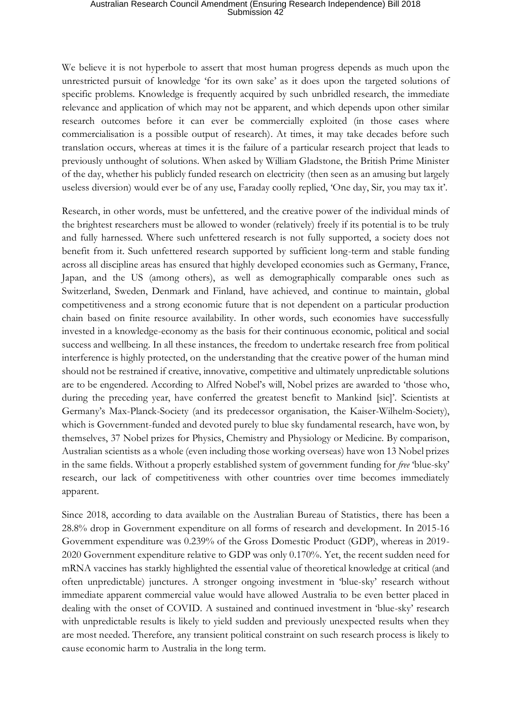We believe it is not hyperbole to assert that most human progress depends as much upon the unrestricted pursuit of knowledge 'for its own sake' as it does upon the targeted solutions of specific problems. Knowledge is frequently acquired by such unbridled research, the immediate relevance and application of which may not be apparent, and which depends upon other similar research outcomes before it can ever be commercially exploited (in those cases where commercialisation is a possible output of research). At times, it may take decades before such translation occurs, whereas at times it is the failure of a particular research project that leads to previously unthought of solutions. When asked by William Gladstone, the British Prime Minister of the day, whether his publicly funded research on electricity (then seen as an amusing but largely useless diversion) would ever be of any use, Faraday coolly replied, 'One day, Sir, you may tax it'.

Research, in other words, must be unfettered, and the creative power of the individual minds of the brightest researchers must be allowed to wonder (relatively) freely if its potential is to be truly and fully harnessed. Where such unfettered research is not fully supported, a society does not benefit from it. Such unfettered research supported by sufficient long-term and stable funding across all discipline areas has ensured that highly developed economies such as Germany, France, Japan, and the US (among others), as well as demographically comparable ones such as Switzerland, Sweden, Denmark and Finland, have achieved, and continue to maintain, global competitiveness and a strong economic future that is not dependent on a particular production chain based on finite resource availability. In other words, such economies have successfully invested in a knowledge-economy as the basis for their continuous economic, political and social success and wellbeing. In all these instances, the freedom to undertake research free from political interference is highly protected, on the understanding that the creative power of the human mind should not be restrained if creative, innovative, competitive and ultimately unpredictable solutions are to be engendered. According to Alfred Nobel's will, Nobel prizes are awarded to 'those who, during the preceding year, have conferred the greatest benefit to Mankind [sic]'. Scientists at Germany's Max-Planck-Society (and its predecessor organisation, the Kaiser-Wilhelm-Society), which is Government-funded and devoted purely to blue sky fundamental research, have won, by themselves, 37 Nobel prizes for Physics, Chemistry and Physiology or Medicine. By comparison, Australian scientists as a whole (even including those working overseas) have won 13 Nobel prizes in the same fields. Without a properly established system of government funding for *free* 'blue-sky' research, our lack of competitiveness with other countries over time becomes immediately apparent.

Since 2018, according to data available on the Australian Bureau of Statistics, there has been a 28.8% drop in Government expenditure on all forms of research and development. In 2015-16 Government expenditure was 0.239% of the Gross Domestic Product (GDP), whereas in 2019- 2020 Government expenditure relative to GDP was only 0.170%. Yet, the recent sudden need for mRNA vaccines has starkly highlighted the essential value of theoretical knowledge at critical (and often unpredictable) junctures. A stronger ongoing investment in 'blue-sky' research without immediate apparent commercial value would have allowed Australia to be even better placed in dealing with the onset of COVID. A sustained and continued investment in 'blue-sky' research with unpredictable results is likely to yield sudden and previously unexpected results when they are most needed. Therefore, any transient political constraint on such research process is likely to cause economic harm to Australia in the long term.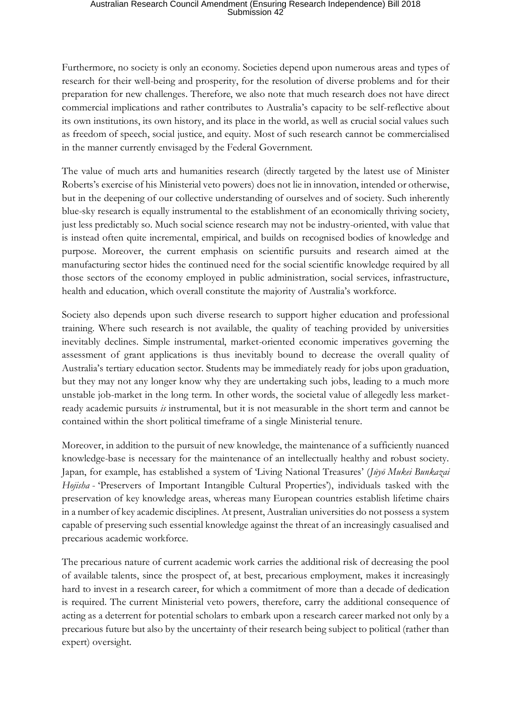Furthermore, no society is only an economy. Societies depend upon numerous areas and types of research for their well-being and prosperity, for the resolution of diverse problems and for their preparation for new challenges. Therefore, we also note that much research does not have direct commercial implications and rather contributes to Australia's capacity to be self-reflective about its own institutions, its own history, and its place in the world, as well as crucial social values such as freedom of speech, social justice, and equity. Most of such research cannot be commercialised in the manner currently envisaged by the Federal Government.

The value of much arts and humanities research (directly targeted by the latest use of Minister Roberts's exercise of his Ministerial veto powers) does not lie in innovation, intended or otherwise, but in the deepening of our collective understanding of ourselves and of society. Such inherently blue-sky research is equally instrumental to the establishment of an economically thriving society, just less predictably so. Much social science research may not be industry-oriented, with value that is instead often quite incremental, empirical, and builds on recognised bodies of knowledge and purpose. Moreover, the current emphasis on scientific pursuits and research aimed at the manufacturing sector hides the continued need for the social scientific knowledge required by all those sectors of the economy employed in public administration, social services, infrastructure, health and education, which overall constitute the majority of Australia's workforce.

Society also depends upon such diverse research to support higher education and professional training. Where such research is not available, the quality of teaching provided by universities inevitably declines. Simple instrumental, market-oriented economic imperatives governing the assessment of grant applications is thus inevitably bound to decrease the overall quality of Australia's tertiary education sector. Students may be immediately ready for jobs upon graduation, but they may not any longer know why they are undertaking such jobs, leading to a much more unstable job-market in the long term. In other words, the societal value of allegedly less marketready academic pursuits *is* instrumental, but it is not measurable in the short term and cannot be contained within the short political timeframe of a single Ministerial tenure.

Moreover, in addition to the pursuit of new knowledge, the maintenance of a sufficiently nuanced knowledge-base is necessary for the maintenance of an intellectually healthy and robust society. Japan, for example, has established a system of 'Living National Treasures' (*Jūyō Mukei Bunkazai Hojisha* - 'Preservers of Important Intangible Cultural Properties'), individuals tasked with the preservation of key knowledge areas, whereas many European countries establish lifetime chairs in a number of key academic disciplines. At present, Australian universities do not possess a system capable of preserving such essential knowledge against the threat of an increasingly casualised and precarious academic workforce.

The precarious nature of current academic work carries the additional risk of decreasing the pool of available talents, since the prospect of, at best, precarious employment, makes it increasingly hard to invest in a research career, for which a commitment of more than a decade of dedication is required. The current Ministerial veto powers, therefore, carry the additional consequence of acting as a deterrent for potential scholars to embark upon a research career marked not only by a precarious future but also by the uncertainty of their research being subject to political (rather than expert) oversight.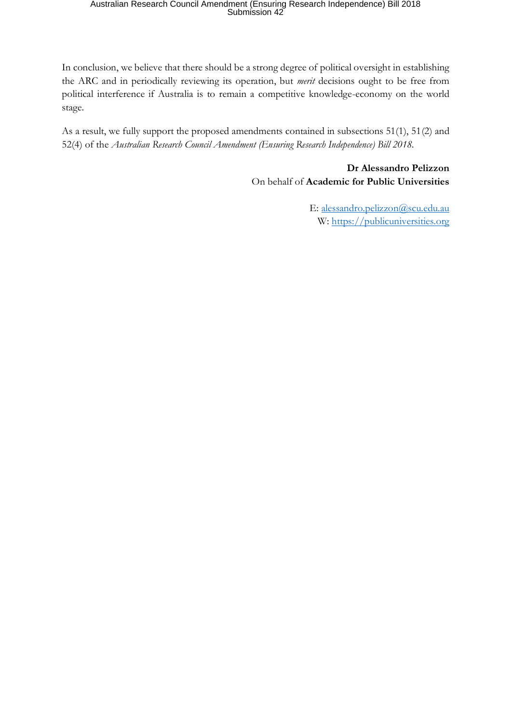In conclusion, we believe that there should be a strong degree of political oversight in establishing the ARC and in periodically reviewing its operation, but *merit* decisions ought to be free from political interference if Australia is to remain a competitive knowledge-economy on the world stage.

As a result, we fully support the proposed amendments contained in subsections 51(1), 51(2) and 52(4) of the *Australian Research Council Amendment (Ensuring Research Independence) Bill 2018.*

> **Dr Alessandro Pelizzon** On behalf of **Academic for Public Universities**

> > E: alessandro.pelizzon@scu.edu.au W: https://publicuniversities.org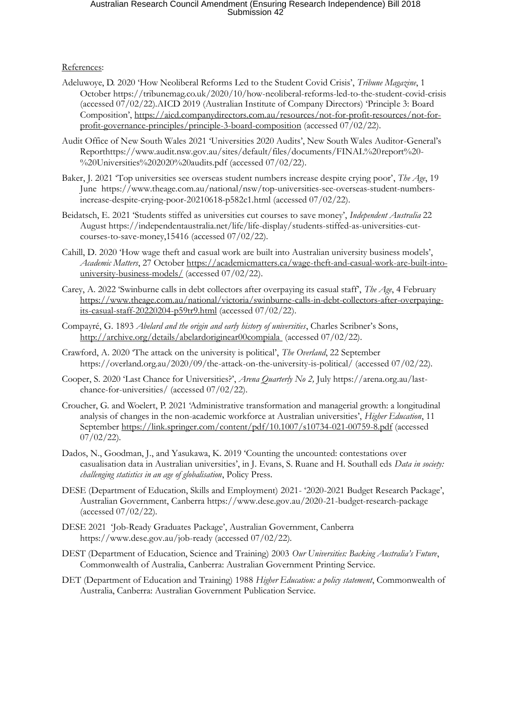#### References:

- Adeluwoye, D. 2020 'How Neoliberal Reforms Led to the Student Covid Crisis', *Tribune Magazine*, 1 October https://tribunemag.co.uk/2020/10/how-neoliberal-reforms-led-to-the-student-covid-crisis (accessed 07/02/22).AICD 2019 (Australian Institute of Company Directors) 'Principle 3: Board Composition', https://aicd.companydirectors.com.au/resources/not-for-profit-resources/not-forprofit-governance-principles/principle-3-board-composition (accessed 07/02/22).
- Audit Office of New South Wales 2021 'Universities 2020 Audits', New South Wales Auditor-General's Reporthttps://www.audit.nsw.gov.au/sites/default/files/documents/FINAL%20report%20- %20Universities%202020%20audits.pdf (accessed 07/02/22).
- Baker, J. 2021 'Top universities see overseas student numbers increase despite crying poor', *The Age*, 19 June https://www.theage.com.au/national/nsw/top-universities-see-overseas-student-numbersincrease-despite-crying-poor-20210618-p582c1.html (accessed 07/02/22).
- Beidatsch, E. 2021 'Students stiffed as universities cut courses to save money', *Independent Australia* 22 August https://independentaustralia.net/life/life-display/students-stiffed-as-universities-cutcourses-to-save-money,15416 (accessed 07/02/22).
- Cahill, D. 2020 'How wage theft and casual work are built into Australian university business models', *Academic Matters*, 27 October https://academicmatters.ca/wage-theft-and-casual-work-are-built-intouniversity-business-models/ (accessed 07/02/22).
- Carey, A. 2022 'Swinburne calls in debt collectors after overpaying its casual staff', *The Age*, 4 February https://www.theage.com.au/national/victoria/swinburne-calls-in-debt-collectors-after-overpayingits-casual-staff-20220204-p59tr9.html (accessed 07/02/22).
- Compayré, G. 1893 *Abelard and the origin and early history of universities*, Charles Scribner's Sons, http://archive.org/details/abelardoriginear00compiala (accessed 07/02/22).
- Crawford, A. 2020 'The attack on the university is political', *The Overland*, 22 September https://overland.org.au/2020/09/the-attack-on-the-university-is-political/ (accessed 07/02/22).
- Cooper, S. 2020 'Last Chance for Universities?', *Arena Quarterly No 2,* July https://arena.org.au/lastchance-for-universities/ (accessed 07/02/22).
- Croucher, G. and Woelert, P. 2021 'Administrative transformation and managerial growth: a longitudinal analysis of changes in the non-academic workforce at Australian universities', *Higher Education*, 11 September https://link.springer.com/content/pdf/10.1007/s10734-021-00759-8.pdf (accessed  $07/02/22$ ).
- Dados, N., Goodman, J., and Yasukawa, K. 2019 'Counting the uncounted: contestations over casualisation data in Australian universities', in J. Evans, S. Ruane and H. Southall eds *Data in society: challenging statistics in an age of globalisation*, Policy Press.
- DESE (Department of Education, Skills and Employment) 2021- '2020-2021 Budget Research Package', Australian Government, Canberra https://www.dese.gov.au/2020-21-budget-research-package (accessed 07/02/22).
- DESE 2021 'Job-Ready Graduates Package', Australian Government, Canberra https://www.dese.gov.au/job-ready (accessed 07/02/22).
- DEST (Department of Education, Science and Training) 2003 *Our Universities: Backing Australia's Future*, Commonwealth of Australia, Canberra: Australian Government Printing Service.
- DET (Department of Education and Training) 1988 *Higher Education: a policy statement*, Commonwealth of Australia, Canberra: Australian Government Publication Service.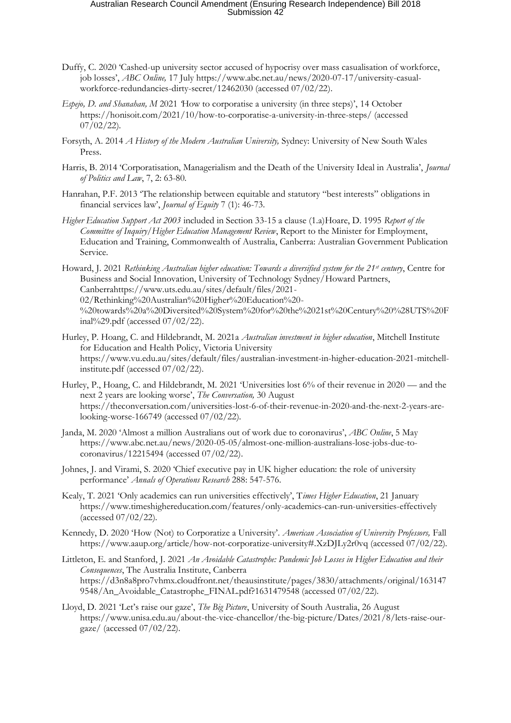- Duffy, C. 2020 'Cashed-up university sector accused of hypocrisy over mass casualisation of workforce, job losses', *ABC Online,* 17 July https://www.abc.net.au/news/2020-07-17/university-casualworkforce-redundancies-dirty-secret/12462030 (accessed 07/02/22).
- *Espejo, D. and Shanahan, M* 2021 *'*How to corporatise a university (in three steps)', 14 October https://honisoit.com/2021/10/how-to-corporatise-a-university-in-three-steps/ (accessed  $07/02/22$ ).
- Forsyth, A. 2014 *A History of the Modern Australian University,* Sydney: University of New South Wales Press.
- Harris, B. 2014 'Corporatisation, Managerialism and the Death of the University Ideal in Australia', *Journal of Politics and Law*, 7, 2: 63-80.
- Hanrahan, P.F. 2013 'The relationship between equitable and statutory "best interests" obligations in financial services law', *Journal of Equity* 7 (1): 46-73.
- *Higher Education Support Act 2003* included in Section 33-15 a clause (1.a)Hoare, D. 1995 *Report of the Committee of Inquiry/Higher Education Management Review*, Report to the Minister for Employment, Education and Training, Commonwealth of Australia, Canberra: Australian Government Publication Service.
- Howard, J. 2021 *Rethinking Australian higher education: Towards a diversified system for the 21st century*, Centre for Business and Social Innovation, University of Technology Sydney/Howard Partners, Canberrahttps://www.uts.edu.au/sites/default/files/2021- 02/Rethinking%20Australian%20Higher%20Education%20- %20towards%20a%20Diversited%20System%20for%20the%2021st%20Century%20%28UTS%20F inal%29.pdf (accessed 07/02/22).
- Hurley, P. Hoang, C. and Hildebrandt, M. 2021a *Australian investment in higher education*, Mitchell Institute for Education and Health Policy, Victoria University https://www.vu.edu.au/sites/default/files/australian-investment-in-higher-education-2021-mitchellinstitute.pdf (accessed 07/02/22).
- Hurley, P., Hoang, C. and Hildebrandt, M. 2021 'Universities lost 6% of their revenue in 2020 and the next 2 years are looking worse', *The Conversation,* 30 August https://theconversation.com/universities-lost-6-of-their-revenue-in-2020-and-the-next-2-years-arelooking-worse-166749 (accessed 07/02/22).
- Janda, M. 2020 'Almost a million Australians out of work due to coronavirus', *ABC Online*, 5 May https://www.abc.net.au/news/2020-05-05/almost-one-million-australians-lose-jobs-due-tocoronavirus/12215494 (accessed 07/02/22).
- Johnes, J. and Virami, S. 2020 'Chief executive pay in UK higher education: the role of university performance' *Annals of Operations Research* 288: 547-576.
- Kealy, T. 2021 'Only academics can run universities effectively', T*imes Higher Education*, 21 January https://www.timeshighereducation.com/features/only-academics-can-run-universities-effectively (accessed 07/02/22).
- Kennedy, D. 2020 'How (Not) to Corporatize a University'. *American Association of University Professors,* Fall https://www.aaup.org/article/how-not-corporatize-university#.XzDJLy2r0vq (accessed 07/02/22).
- Littleton, E. and Stanford, J. 2021 *An Avoidable Catastrophe: Pandemic Job Losses in Higher Education and their Consequences*, The Australia Institute, Canberra https://d3n8a8pro7vhmx.cloudfront.net/theausinstitute/pages/3830/attachments/original/163147 9548/An\_Avoidable\_Catastrophe\_FINAL.pdf?1631479548 (accessed 07/02/22).
- Lloyd, D. 2021 'Let's raise our gaze', *The Big Picture*, University of South Australia, 26 August https://www.unisa.edu.au/about-the-vice-chancellor/the-big-picture/Dates/2021/8/lets-raise-ourgaze/ (accessed 07/02/22).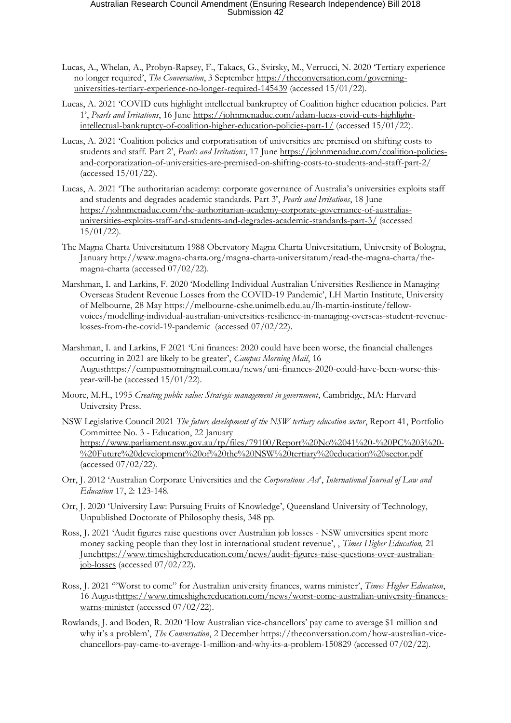- Lucas, A., Whelan, A., Probyn-Rapsey, F., Takacs, G., Svirsky, M., Verrucci, N. 2020 'Tertiary experience no longer required', *The Conversation*, 3 September https://theconversation.com/governinguniversities-tertiary-experience-no-longer-required-145439 (accessed 15/01/22).
- Lucas, A. 2021 'COVID cuts highlight intellectual bankruptcy of Coalition higher education policies. Part 1', *Pearls and Irritations*, 16 June https://johnmenadue.com/adam-lucas-covid-cuts-highlightintellectual-bankruptcy-of-coalition-higher-education-policies-part-1/ (accessed 15/01/22).
- Lucas, A. 2021 'Coalition policies and corporatisation of universities are premised on shifting costs to students and staff. Part 2', *Pearls and Irritations*, 17 June https://johnmenadue.com/coalition-policiesand-corporatization-of-universities-are-premised-on-shifting-costs-to-students-and-staff-part-2/ (accessed 15/01/22).
- Lucas, A. 2021 'The authoritarian academy: corporate governance of Australia's universities exploits staff and students and degrades academic standards. Part 3', *Pearls and Irritations*, 18 June https://johnmenadue.com/the-authoritarian-academy-corporate-governance-of-australiasuniversities-exploits-staff-and-students-and-degrades-academic-standards-part-3/ (accessed 15/01/22).
- The Magna Charta Universitatum 1988 Obervatory Magna Charta Universitatium, University of Bologna, January http://www.magna-charta.org/magna-charta-universitatum/read-the-magna-charta/themagna-charta (accessed 07/02/22).
- Marshman, I. and Larkins, F. 2020 'Modelling Individual Australian Universities Resilience in Managing Overseas Student Revenue Losses from the COVID-19 Pandemic', LH Martin Institute, University of Melbourne, 28 May https://melbourne-cshe.unimelb.edu.au/lh-martin-institute/fellowvoices/modelling-individual-australian-universities-resilience-in-managing-overseas-student-revenuelosses-from-the-covid-19-pandemic (accessed 07/02/22).
- Marshman, I. and Larkins, F 2021 'Uni finances: 2020 could have been worse, the financial challenges occurring in 2021 are likely to be greater', *Campus Morning Mail*, 16 Augusthttps://campusmorningmail.com.au/news/uni-finances-2020-could-have-been-worse-thisyear-will-be (accessed 15/01/22).
- Moore, M.H., 1995 *Creating public value: Strategic management in government*, Cambridge, MA: Harvard University Press.
- NSW Legislative Council 2021 *The future development of the NSW tertiary education sector*, Report 41, Portfolio Committee No. 3 - Education, 22 January https://www.parliament.nsw.gov.au/tp/files/79100/Report%20No%2041%20-%20PC%203%20- %20Future%20development%20of%20the%20NSW%20tertiary%20education%20sector.pdf (accessed 07/02/22).
- Orr, J. 2012 'Australian Corporate Universities and the *Corporations Act*', *International Journal of Law and Education* 17, 2: 123-148.
- Orr, J. 2020 'University Law: Pursuing Fruits of Knowledge', Queensland University of Technology, Unpublished Doctorate of Philosophy thesis, 348 pp.
- Ross, J**.** 2021 'Audit figures raise questions over Australian job losses NSW universities spent more money sacking people than they lost in international student revenue', , *Times Higher Education,* 21 Junehttps://www.timeshighereducation.com/news/audit-figures-raise-questions-over-australianjob-losses (accessed 07/02/22).
- Ross, J. 2021 '"Worst to come" for Australian university finances, warns minister', *Times Higher Education*, 16 Augusthttps://www.timeshighereducation.com/news/worst-come-australian-university-financeswarns-minister (accessed 07/02/22).
- Rowlands, J. and Boden, R. 2020 'How Australian vice-chancellors' pay came to average \$1 million and why it's a problem', *The Conversation*, 2 December https://theconversation.com/how-australian-vicechancellors-pay-came-to-average-1-million-and-why-its-a-problem-150829 (accessed 07/02/22).